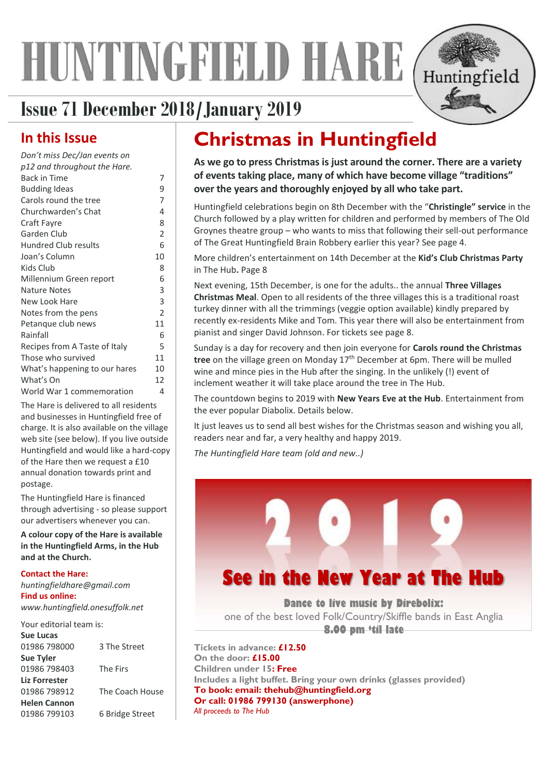# HUNTINGFIELD HARE



# **Issue 71 December 2018/January2019**

# **In this Issue**

| Don't miss Dec/Jan events on  |                |
|-------------------------------|----------------|
| p12 and throughout the Hare.  |                |
| <b>Back in Time</b>           | 7              |
| <b>Budding Ideas</b>          | 9              |
| Carols round the tree         | 7              |
| Churchwarden's Chat           | 4              |
| Craft Fayre                   | 8              |
| Garden Club                   | 2              |
| <b>Hundred Club results</b>   | 6              |
| Joan's Column                 | 10             |
| Kids Club                     | 8              |
| Millennium Green report       | 6              |
| <b>Nature Notes</b>           | 3              |
| New Look Hare                 | 3              |
| Notes from the pens           | $\overline{2}$ |
| Petanque club news            | 11             |
| Rainfall                      | 6              |
| Recipes from A Taste of Italy | 5              |
| Those who survived            | 11             |
| What's happening to our hares | 10             |
| What's On                     | 12             |
| World War 1 commemoration     | 4              |

The Hare is delivered to all residents and businesses in Huntingfield free of charge. It is also available on the village web site (see below). If you live outside Huntingfield and would like a hard-copy of the Hare then we request a £10 annual donation towards print and postage.

The Huntingfield Hare is financed through advertising - so please support our advertisers whenever you can.

**A colour copy of the Hare is available in the Huntingfield Arms, in the Hub and at the Church.** 

#### **Contact the Hare:**

*huntingfieldhare@gmail.com* **Find us online:** *www.huntingfield.onesuffolk.net*

| Your editorial team is: |                 |
|-------------------------|-----------------|
| Sue Lucas               |                 |
| 01986 798000            | 3 The Street    |
| <b>Sue Tyler</b>        |                 |
| 01986 798403            | The Firs        |
| Liz Forrester           |                 |
| 01986 798912            | The Coach House |
| <b>Helen Cannon</b>     |                 |
| 01986 799103            | 6 Bridge Street |
|                         |                 |

# **Christmas in Huntingfield**

**As we go to press Christmas is just around the corner. There are a variety of events taking place, many of which have become village "traditions" over the years and thoroughly enjoyed by all who take part.** 

Huntingfield celebrations begin on 8th December with the "**Christingle" service** in the Church followed by a play written for children and performed by members of The Old Groynes theatre group – who wants to miss that following their sell-out performance of The Great Huntingfield Brain Robbery earlier this year? See page 4.

More children's entertainment on 14th December at the **Kid's Club Christmas Party** in The Hub**.** Page [8](#page-7-0)

Next evening, 15th December, is one for the adults.. the annual **Three Villages Christmas Meal**. Open to all residents of the three villages this is a traditional roast turkey dinner with all the trimmings (veggie option available) kindly prepared by recently ex-residents Mike and Tom. This year there will also be entertainment from pianist and singer David Johnson. For tickets see page [8.](#page-7-1)

Sunday is a day for recovery and then join everyone for **Carols round the Christmas**  tree on the village green on Monday 17<sup>th</sup> December at 6pm. There will be mulled wine and mince pies in the Hub after the singing. In the unlikely (!) event of inclement weather it will take place around the tree in The Hub.

The countdown begins to 2019 with **New Years Eve at the Hub**. Entertainment from the ever popular Diabolix. Details below.

It just leaves us to send all best wishes for the Christmas season and wishing you all, readers near and far, a very healthy and happy 2019.

*The Huntingfield Hare team (old and new..)*



**Dance to live music by Direbolix:** one of the best loved Folk/Country/Skiffle bands in East Anglia **8.00 pm 'til late**

**Tickets in advance: £12.50 On the door: £15.00 Children under 15: Free Includes a light buffet. Bring your own drinks (glasses provided) To book: email: [thehub@huntingfield.org](mailto:thehub@huntingfield.org) Or call: 01986 799130 (answerphone)** *All proceeds to The Hub*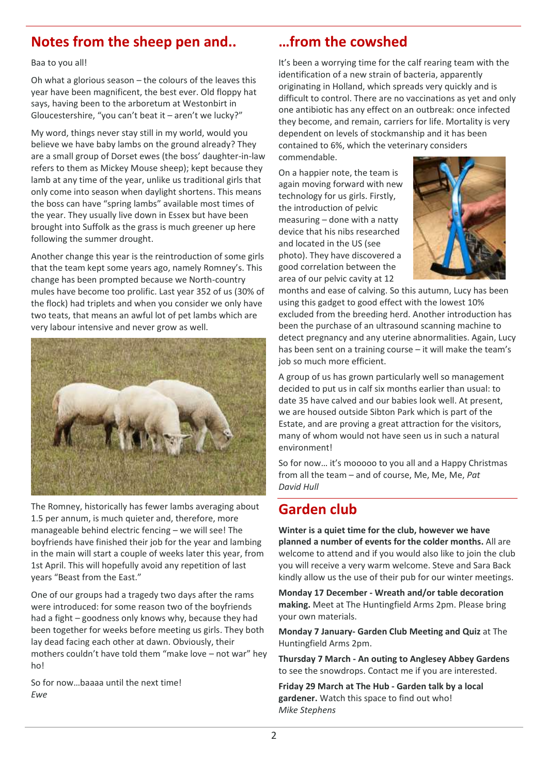# **Notes from the sheep pen and..**

Baa to you all!

Oh what a glorious season – the colours of the leaves this year have been magnificent, the best ever. Old floppy hat says, having been to the arboretum at Westonbirt in Gloucestershire, "you can't beat it – aren't we lucky?"

My word, things never stay still in my world, would you believe we have baby lambs on the ground already? They are a small group of Dorset ewes (the boss' daughter-in-law refers to them as Mickey Mouse sheep); kept because they lamb at any time of the year, unlike us traditional girls that only come into season when daylight shortens. This means the boss can have "spring lambs" available most times of the year. They usually live down in Essex but have been brought into Suffolk as the grass is much greener up here following the summer drought.

Another change this year is the reintroduction of some girls that the team kept some years ago, namely Romney's. This change has been prompted because we North-country mules have become too prolific. Last year 352 of us (30% of the flock) had triplets and when you consider we only have two teats, that means an awful lot of pet lambs which are very labour intensive and never grow as well.



The Romney, historically has fewer lambs averaging about 1.5 per annum, is much quieter and, therefore, more manageable behind electric fencing – we will see! The boyfriends have finished their job for the year and lambing in the main will start a couple of weeks later this year, from 1st April. This will hopefully avoid any repetition of last years "Beast from the East."

One of our groups had a tragedy two days after the rams were introduced: for some reason two of the boyfriends had a fight – goodness only knows why, because they had been together for weeks before meeting us girls. They both lay dead facing each other at dawn. Obviously, their mothers couldn't have told them "make love – not war" hey ho!

So for now…baaaa until the next time! *Ewe*

# **…from the cowshed**

It's been a worrying time for the calf rearing team with the identification of a new strain of bacteria, apparently originating in Holland, which spreads very quickly and is difficult to control. There are no vaccinations as yet and only one antibiotic has any effect on an outbreak: once infected they become, and remain, carriers for life. Mortality is very dependent on levels of stockmanship and it has been contained to 6%, which the veterinary considers commendable.

On a happier note, the team is again moving forward with new technology for us girls. Firstly, the introduction of pelvic measuring – done with a natty device that his nibs researched and located in the US (see photo). They have discovered a good correlation between the area of our pelvic cavity at 12



months and ease of calving. So this autumn, Lucy has been using this gadget to good effect with the lowest 10% excluded from the breeding herd. Another introduction has been the purchase of an ultrasound scanning machine to detect pregnancy and any uterine abnormalities. Again, Lucy has been sent on a training course – it will make the team's job so much more efficient.

A group of us has grown particularly well so management decided to put us in calf six months earlier than usual: to date 35 have calved and our babies look well. At present, we are housed outside Sibton Park which is part of the Estate, and are proving a great attraction for the visitors, many of whom would not have seen us in such a natural environment!

So for now… it's mooooo to you all and a Happy Christmas from all the team – and of course, Me, Me, Me, *Pat David Hull*

# **Garden club**

**Winter is a quiet time for the club, however we have planned a number of events for the colder months.** All are welcome to attend and if you would also like to join the club you will receive a very warm welcome. Steve and Sara Back kindly allow us the use of their pub for our winter meetings.

**Monday 17 December - Wreath and/or table decoration making.** Meet at The Huntingfield Arms 2pm. Please bring your own materials.

**Monday 7 January- Garden Club Meeting and Quiz** at The Huntingfield Arms 2pm.

**Thursday 7 March - An outing to Anglesey Abbey Gardens** to see the snowdrops. Contact me if you are interested.

**Friday 29 March at The Hub - Garden talk by a local gardener.** Watch this space to find out who! *Mike Stephens*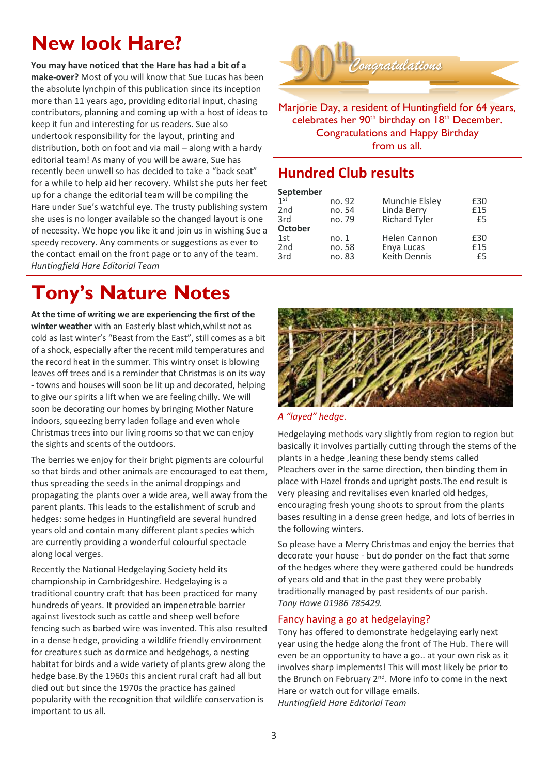# **New look Hare?**

**You may have noticed that the Hare has had a bit of a make-over?** Most of you will know that Sue Lucas has been the absolute lynchpin of this publication since its inception more than 11 years ago, providing editorial input, chasing contributors, planning and coming up with a host of ideas to keep it fun and interesting for us readers. Sue also undertook responsibility for the layout, printing and distribution, both on foot and via mail – along with a hardy editorial team! As many of you will be aware, Sue has recently been unwell so has decided to take a "back seat" for a while to help aid her recovery. Whilst she puts her feet up for a change the editorial team will be compiling the Hare under Sue's watchful eye. The trusty publishing system she uses is no longer available so the changed layout is one of necessity. We hope you like it and join us in wishing Sue a speedy recovery. Any comments or suggestions as ever to the contact email on the front page or to any of the team. *Huntingfield Hare Editorial Team*

# **Tony's Nature Notes**

**At the time of writing we are experiencing the first of the winter weather** with an Easterly blast which,whilst not as cold as last winter's "Beast from the East", still comes as a bit of a shock, especially after the recent mild temperatures and the record heat in the summer. This wintry onset is blowing leaves off trees and is a reminder that Christmas is on its way - towns and houses will soon be lit up and decorated, helping to give our spirits a lift when we are feeling chilly. We will soon be decorating our homes by bringing Mother Nature indoors, squeezing berry laden foliage and even whole Christmas trees into our living rooms so that we can enjoy the sights and scents of the outdoors.

The berries we enjoy for their bright pigments are colourful so that birds and other animals are encouraged to eat them, thus spreading the seeds in the animal droppings and propagating the plants over a wide area, well away from the parent plants. This leads to the estalishment of scrub and hedges: some hedges in Huntingfield are several hundred years old and contain many different plant species which are currently providing a wonderful colourful spectacle along local verges.

Recently the National Hedgelaying Society held its championship in Cambridgeshire. Hedgelaying is a traditional country craft that has been practiced for many hundreds of years. It provided an impenetrable barrier against livestock such as cattle and sheep well before fencing such as barbed wire was invented. This also resulted in a dense hedge, providing a wildlife friendly environment for creatures such as dormice and hedgehogs, a nesting habitat for birds and a wide variety of plants grew along the hedge base.By the 1960s this ancient rural craft had all but died out but since the 1970s the practice has gained popularity with the recognition that wildlife conservation is important to us all.



Marjorie Day, a resident of Huntingfield for 64 years, celebrates her 90<sup>th</sup> birthday on 18<sup>th</sup> December. Congratulations and Happy Birthday from us all.

# **Hundred Club results**

| September       |        |                |     |
|-----------------|--------|----------------|-----|
| $1$ st          | no. 92 | Munchie Elsley | £30 |
| 2 <sub>nd</sub> | no. 54 | Linda Berry    | £15 |
| 3rd             | no. 79 | Richard Tyler  | £5  |
| <b>October</b>  |        |                |     |
| 1st             | no. 1  | Helen Cannon   | £30 |
| 2 <sub>nd</sub> | no. 58 | Enya Lucas     | £15 |
| 3rd             | no. 83 | Keith Dennis   | £5  |
|                 |        |                |     |





Hedgelaying methods vary slightly from region to region but basically it involves partially cutting through the stems of the plants in a hedge , leaning these bendy stems called Pleachers over in the same direction, then binding them in place with Hazel fronds and upright posts.The end result is very pleasing and revitalises even knarled old hedges, encouraging fresh young shoots to sprout from the plants bases resulting in a dense green hedge, and lots of berries in the following winters.

So please have a Merry Christmas and enjoy the berries that decorate your house - but do ponder on the fact that some of the hedges where they were gathered could be hundreds of years old and that in the past they were probably traditionally managed by past residents of our parish. *Tony Howe 01986 785429.*

#### Fancy having a go at hedgelaying?

Tony has offered to demonstrate hedgelaying early next year using the hedge along the front of The Hub. There will even be an opportunity to have a go.. at your own risk as it involves sharp implements! This will most likely be prior to the Brunch on February 2<sup>nd</sup>. More info to come in the next Hare or watch out for village emails. *Huntingfield Hare Editorial Team*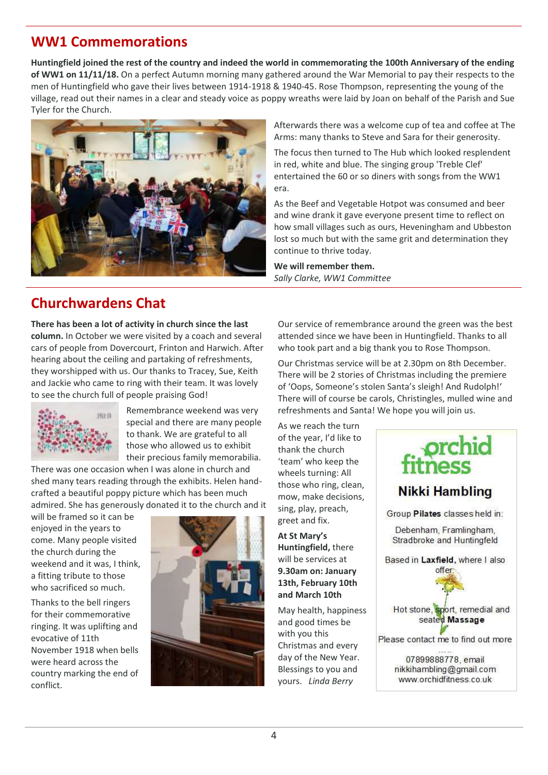### **WW1 Commemorations**

**Huntingfield joined the rest of the country and indeed the world in commemorating the 100th Anniversary of the ending of WW1 on 11/11/18.** On a perfect Autumn morning many gathered around the War Memorial to pay their respects to the men of Huntingfield who gave their lives between 1914-1918 & 1940-45. Rose Thompson, representing the young of the village, read out their names in a clear and steady voice as poppy wreaths were laid by Joan on behalf of the Parish and Sue Tyler for the Church.



# **Churchwardens Chat**

**There has been a lot of activity in church since the last column.** In October we were visited by a coach and several cars of people from Dovercourt, Frinton and Harwich. After hearing about the ceiling and partaking of refreshments, they worshipped with us. Our thanks to Tracey, Sue, Keith and Jackie who came to ring with their team. It was lovely to see the church full of people praising God!



Remembrance weekend was very special and there are many people to thank. We are grateful to all those who allowed us to exhibit their precious family memorabilia.

There was one occasion when I was alone in church and shed many tears reading through the exhibits. Helen handcrafted a beautiful poppy picture which has been much admired. She has generously donated it to the church and it

will be framed so it can be enjoyed in the years to come. Many people visited the church during the weekend and it was, I think, a fitting tribute to those who sacrificed so much.

Thanks to the bell ringers for their commemorative ringing. It was uplifting and evocative of 11th November 1918 when bells were heard across the country marking the end of conflict.



Afterwards there was a welcome cup of tea and coffee at The Arms: many thanks to Steve and Sara for their generosity.

The focus then turned to The Hub which looked resplendent in red, white and blue. The singing group 'Treble Clef' entertained the 60 or so diners with songs from the WW1 era.

As the Beef and Vegetable Hotpot was consumed and beer and wine drank it gave everyone present time to reflect on how small villages such as ours, Heveningham and Ubbeston lost so much but with the same grit and determination they continue to thrive today.

**We will remember them.** *Sally Clarke, WW1 Committee*

Our service of remembrance around the green was the best attended since we have been in Huntingfield. Thanks to all who took part and a big thank you to Rose Thompson.

Our Christmas service will be at 2.30pm on 8th December. There will be 2 stories of Christmas including the premiere of 'Oops, Someone's stolen Santa's sleigh! And Rudolph!' There will of course be carols, Christingles, mulled wine and refreshments and Santa! We hope you will join us.

As we reach the turn of the year, I'd like to thank the church 'team' who keep the wheels turning: All those who ring, clean, mow, make decisions, sing, play, preach, greet and fix.

**At St Mary's Huntingfield,** there will be services at **9.30am on: January 13th, February 10th and March 10th**

May health, happiness and good times be with you this Christmas and every day of the New Year. Blessings to you and yours. *Linda Berry*

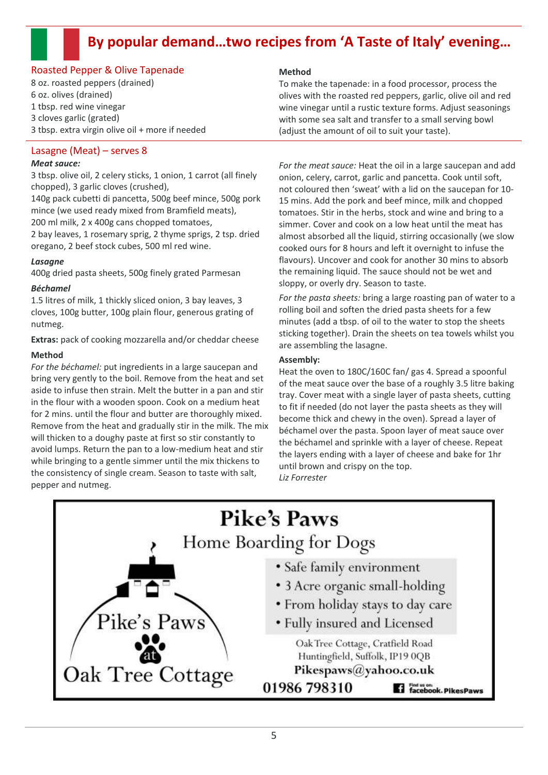# **By popular demand…two recipes from 'A Taste of Italy' evening…**

#### Roasted Pepper & Olive Tapenade

8 oz. roasted peppers (drained) 6 oz. olives (drained) 1 tbsp. red wine vinegar 3 cloves garlic (grated) 3 tbsp. extra virgin olive oil + more if needed

#### Lasagne (Meat) – serves 8

#### *Meat sauce:*

3 tbsp. olive oil, 2 celery sticks, 1 onion, 1 carrot (all finely chopped), 3 garlic cloves (crushed),

140g pack cubetti di pancetta, 500g beef mince, 500g pork mince (we used ready mixed from Bramfield meats), 200 ml milk, 2 x 400g cans chopped tomatoes,

2 bay leaves, 1 rosemary sprig, 2 thyme sprigs, 2 tsp. dried oregano, 2 beef stock cubes, 500 ml red wine.

#### *Lasagne*

400g dried pasta sheets, 500g finely grated Parmesan

#### *Béchamel*

1.5 litres of milk, 1 thickly sliced onion, 3 bay leaves, 3 cloves, 100g butter, 100g plain flour, generous grating of nutmeg.

**Extras:** pack of cooking mozzarella and/or cheddar cheese

#### **Method**

*For the béchamel:* put ingredients in a large saucepan and bring very gently to the boil. Remove from the heat and set aside to infuse then strain. Melt the butter in a pan and stir in the flour with a wooden spoon. Cook on a medium heat for 2 mins. until the flour and butter are thoroughly mixed. Remove from the heat and gradually stir in the milk. The mix will thicken to a doughy paste at first so stir constantly to avoid lumps. Return the pan to a low-medium heat and stir while bringing to a gentle simmer until the mix thickens to the consistency of single cream. Season to taste with salt, pepper and nutmeg.

#### **Method**

To make the tapenade: in a food processor, process the olives with the roasted red peppers, garlic, olive oil and red wine vinegar until a rustic texture forms. Adjust seasonings with some sea salt and transfer to a small serving bowl (adjust the amount of oil to suit your taste).

*For the meat sauce:* Heat the oil in a large saucepan and add onion, celery, carrot, garlic and pancetta. Cook until soft, not coloured then 'sweat' with a lid on the saucepan for 10- 15 mins. Add the pork and beef mince, milk and chopped tomatoes. Stir in the herbs, stock and wine and bring to a simmer. Cover and cook on a low heat until the meat has almost absorbed all the liquid, stirring occasionally (we slow cooked ours for 8 hours and left it overnight to infuse the flavours). Uncover and cook for another 30 mins to absorb the remaining liquid. The sauce should not be wet and sloppy, or overly dry. Season to taste.

*For the pasta sheets:* bring a large roasting pan of water to a rolling boil and soften the dried pasta sheets for a few minutes (add a tbsp. of oil to the water to stop the sheets sticking together). Drain the sheets on tea towels whilst you are assembling the lasagne.

#### **Assembly:**

Heat the oven to 180C/160C fan/ gas 4. Spread a spoonful of the meat sauce over the base of a roughly 3.5 litre baking tray. Cover meat with a single layer of pasta sheets, cutting to fit if needed (do not layer the pasta sheets as they will become thick and chewy in the oven). Spread a layer of béchamel over the pasta. Spoon layer of meat sauce over the béchamel and sprinkle with a layer of cheese. Repeat the layers ending with a layer of cheese and bake for 1hr until brown and crispy on the top. *Liz Forrester*

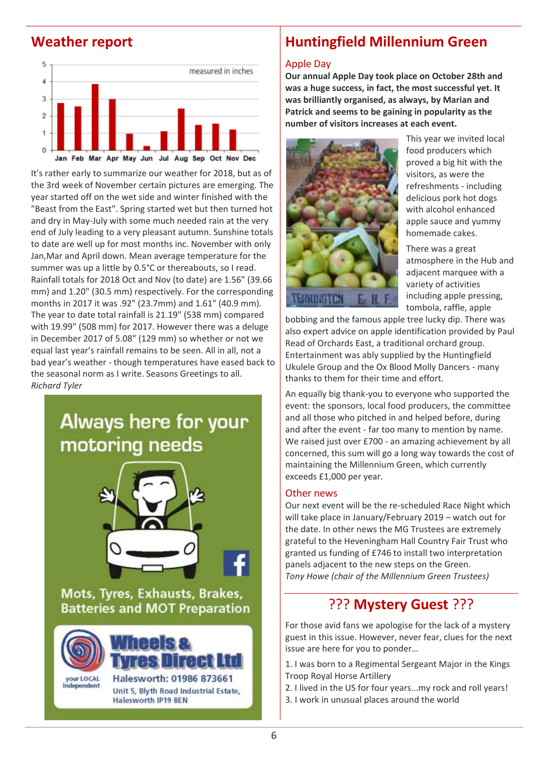### **Weather report**



It's rather early to summarize our weather for 2018, but as of the 3rd week of November certain pictures are emerging. The year started off on the wet side and winter finished with the "Beast from the East". Spring started wet but then turned hot and dry in May-July with some much needed rain at the very end of July leading to a very pleasant autumn. Sunshine totals to date are well up for most months inc. November with only Jan,Mar and April down. Mean average temperature for the summer was up a little by 0.5°C or thereabouts, so I read. Rainfall totals for 2018 Oct and Nov (to date) are 1.56" (39.66 mm) and 1.20" (30.5 mm) respectively. For the corresponding months in 2017 it was .92" (23.7mm) and 1.61" (40.9 mm). The year to date total rainfall is 21.19" (538 mm) compared with 19.99" (508 mm) for 2017. However there was a deluge in December 2017 of 5.08" (129 mm) so whether or not we equal last year's rainfall remains to be seen. All in all, not a bad year's weather - though temperatures have eased back to the seasonal norm as I write. Seasons Greetings to all. *Richard Tyler*

# Always here for your motoring needs



Mots, Tyres, Exhausts, Brakes, **Batteries and MOT Preparation** 



#### **was brilliantly organised, as always, by Marian and Patrick and seems to be gaining in popularity as the number of visitors increases at each event.**

Apple Day



This year we invited local food producers which proved a big hit with the visitors, as were the refreshments - including delicious pork hot dogs with alcohol enhanced apple sauce and yummy homemade cakes.

There was a great atmosphere in the Hub and adjacent marquee with a variety of activities including apple pressing, tombola, raffle, apple

bobbing and the famous apple tree lucky dip. There was also expert advice on apple identification provided by Paul Read of Orchards East, a traditional orchard group. Entertainment was ably supplied by the Huntingfield Ukulele Group and the Ox Blood Molly Dancers - many thanks to them for their time and effort.

**Huntingfield Millennium Green**

**Our annual Apple Day took place on October 28th and was a huge success, in fact, the most successful yet. It** 

An equally big thank-you to everyone who supported the event: the sponsors, local food producers, the committee and all those who pitched in and helped before, during and after the event - far too many to mention by name. We raised just over £700 - an amazing achievement by all concerned, this sum will go a long way towards the cost of maintaining the Millennium Green, which currently exceeds £1,000 per year.

#### Other news

Our next event will be the re-scheduled Race Night which will take place in January/February 2019 – watch out for the date. In other news the MG Trustees are extremely grateful to the Heveningham Hall Country Fair Trust who granted us funding of £746 to install two interpretation panels adjacent to the new steps on the Green. *Tony Howe (chair of the Millennium Green Trustees)*

### ??? **Mystery Guest** ???

For those avid fans we apologise for the lack of a mystery guest in this issue. However, never fear, clues for the next issue are here for you to ponder…

1. I was born to a Regimental Sergeant Major in the Kings Troop Royal Horse Artillery

- 2. I lived in the US for four years...my rock and roll years!
- 3. I work in unusual places around the world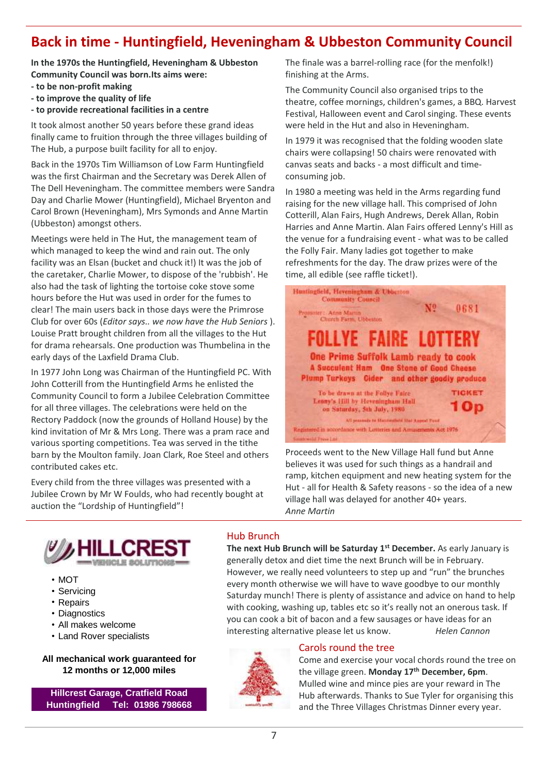### <span id="page-6-1"></span><span id="page-6-0"></span>**Back in time - Huntingfield, Heveningham & Ubbeston Community Council**

**In the 1970s the Huntingfield, Heveningham & Ubbeston Community Council was born.Its aims were:**

- **- to be non-profit making**
- **- to improve the quality of life**
- **- to provide recreational facilities in a centre**

It took almost another 50 years before these grand ideas finally came to fruition through the three villages building of The Hub, a purpose built facility for all to enjoy.

Back in the 1970s Tim Williamson of Low Farm Huntingfield was the first Chairman and the Secretary was Derek Allen of The Dell Heveningham. The committee members were Sandra Day and Charlie Mower (Huntingfield), Michael Bryenton and Carol Brown (Heveningham), Mrs Symonds and Anne Martin (Ubbeston) amongst others.

Meetings were held in The Hut, the management team of which managed to keep the wind and rain out. The only facility was an Elsan (bucket and chuck it!) It was the job of the caretaker, Charlie Mower, to dispose of the 'rubbish'. He also had the task of lighting the tortoise coke stove some hours before the Hut was used in order for the fumes to clear! The main users back in those days were the Primrose Club for over 60s (*Editor says.. we now have the Hub Seniors* ). Louise Pratt brought children from all the villages to the Hut for drama rehearsals. One production was Thumbelina in the early days of the Laxfield Drama Club.

In 1977 John Long was Chairman of the Huntingfield PC. With John Cotterill from the Huntingfield Arms he enlisted the Community Council to form a Jubilee Celebration Committee for all three villages. The celebrations were held on the Rectory Paddock (now the grounds of Holland House) by the kind invitation of Mr & Mrs Long. There was a pram race and various sporting competitions. Tea was served in the tithe barn by the Moulton family. Joan Clark, Roe Steel and others contributed cakes etc.

Every child from the three villages was presented with a Jubilee Crown by Mr W Foulds, who had recently bought at auction the "Lordship of Huntingfield"!

The finale was a barrel-rolling race (for the menfolk!) finishing at the Arms.

The Community Council also organised trips to the theatre, coffee mornings, children's games, a BBQ. Harvest Festival, Halloween event and Carol singing. These events were held in the Hut and also in Heveningham.

In 1979 it was recognised that the folding wooden slate chairs were collapsing! 50 chairs were renovated with canvas seats and backs - a most difficult and timeconsuming job.

In 1980 a meeting was held in the Arms regarding fund raising for the new village hall. This comprised of John Cotterill, Alan Fairs, Hugh Andrews, Derek Allan, Robin Harries and Anne Martin. Alan Fairs offered Lenny's Hill as the venue for a fundraising event - what was to be called the Folly Fair. Many ladies got together to make refreshments for the day. The draw prizes were of the time, all edible (see raffle ticket!).



Proceeds went to the New Village Hall fund but Anne believes it was used for such things as a handrail and ramp, kitchen equipment and new heating system for the Hut - all for Health & Safety reasons - so the idea of a new village hall was delayed for another 40+ years. *Anne Martin*



- MOT
- Servicing
- Repairs
- Diagnostics
- All makes welcome
- Land Rover specialists

**All mechanical work guaranteed for 12 months or 12,000 miles**

**Hillcrest Garage, Cratfield Road Huntingfield Tel: 01986 798668**

#### Hub Brunch

**The next Hub Brunch will be Saturday 1st December.** As early January is generally detox and diet time the next Brunch will be in February. However, we really need volunteers to step up and "run" the brunches every month otherwise we will have to wave goodbye to our monthly Saturday munch! There is plenty of assistance and advice on hand to help with cooking, washing up, tables etc so it's really not an onerous task. If you can cook a bit of bacon and a few sausages or have ideas for an interesting alternative please let us know. *Helen Cannon*



#### Carols round the tree

Come and exercise your vocal chords round the tree on the village green. **Monday 17th December, 6pm**. Mulled wine and mince pies are your reward in The Hub afterwards. Thanks to Sue Tyler for organising this and the Three Villages Christmas Dinner every year.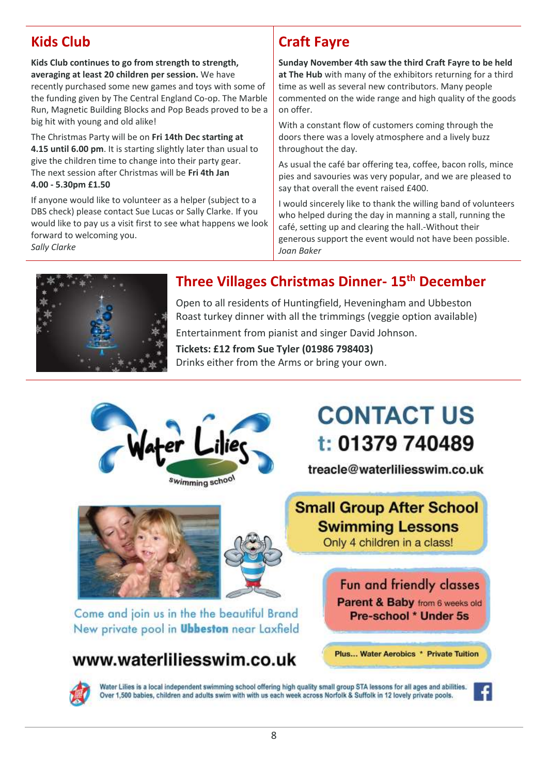# <span id="page-7-1"></span><span id="page-7-0"></span>**Kids Club**

**Kids Club continues to go from strength to strength, averaging at least 20 children per session.** We have recently purchased some new games and toys with some of the funding given by The Central England Co-op. The Marble Run, Magnetic Building Blocks and Pop Beads proved to be a big hit with young and old alike!

The Christmas Party will be on **Fri 14th Dec starting at 4.15 until 6.00 pm**. It is starting slightly later than usual to give the children time to change into their party gear. The next session after Christmas will be **Fri 4th Jan 4.00 - 5.30pm £1.50**

If anyone would like to volunteer as a helper (subject to a DBS check) please contact Sue Lucas or Sally Clarke. If you would like to pay us a visit first to see what happens we look forward to welcoming you. *Sally Clarke*

# **Craft Fayre**

**Sunday November 4th saw the third Craft Fayre to be held at The Hub** with many of the exhibitors returning for a third time as well as several new contributors. Many people commented on the wide range and high quality of the goods on offer.

With a constant flow of customers coming through the doors there was a lovely atmosphere and a lively buzz throughout the day.

As usual the café bar offering tea, coffee, bacon rolls, mince pies and savouries was very popular, and we are pleased to say that overall the event raised £400.

I would sincerely like to thank the willing band of volunteers who helped during the day in manning a stall, running the café, setting up and clearing the hall.-Without their generous support the event would not have been possible. *Joan Baker*

Plus... Water Aerobics \* Private Tuition



# **Three Villages Christmas Dinner- 15 th December**

Open to all residents of Huntingfield, Heveningham and Ubbeston Roast turkey dinner with all the trimmings (veggie option available) Entertainment from pianist and singer David Johnson.

**Tickets: £12 from Sue Tyler (01986 798403)** Drinks either from the Arms or bring your own.



# www.waterliliesswim.co.uk

Water Lilies is a local independent swimming school offering high quality small group STA lessons for all ages and abilities. Over 1,500 babies, children and adults swim with with us each week across Norfolk & Suffolk in 12 lovely private pools.

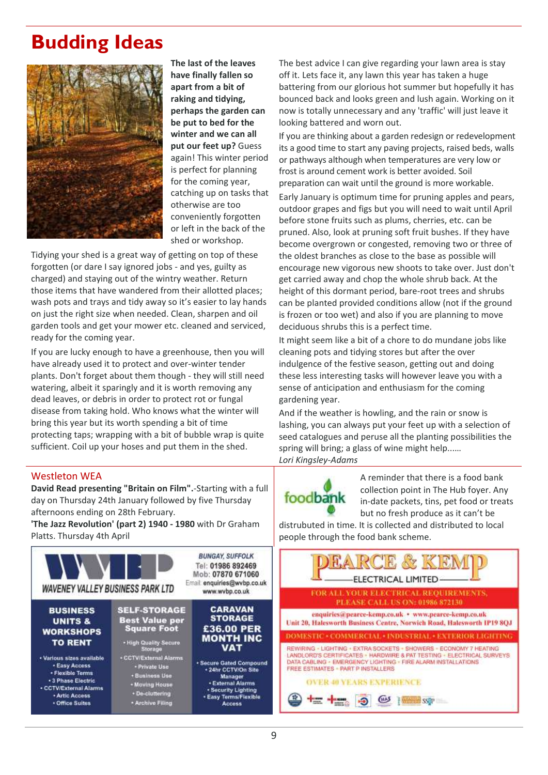# **Budding Ideas**



**The last of the leaves have finally fallen so apart from a bit of raking and tidying, perhaps the garden can be put to bed for the winter and we can all put our feet up?** Guess again! This winter period is perfect for planning for the coming year, catching up on tasks that otherwise are too conveniently forgotten or left in the back of the shed or workshop.

Tidying your shed is a great way of getting on top of these forgotten (or dare I say ignored jobs - and yes, guilty as charged) and staying out of the wintry weather. Return those items that have wandered from their allotted places; wash pots and trays and tidy away so it's easier to lay hands on just the right size when needed. Clean, sharpen and oil garden tools and get your mower etc. cleaned and serviced, ready for the coming year.

If you are lucky enough to have a greenhouse, then you will have already used it to protect and over-winter tender plants. Don't forget about them though - they will still need watering, albeit it sparingly and it is worth removing any dead leaves, or debris in order to protect rot or fungal disease from taking hold. Who knows what the winter will bring this year but its worth spending a bit of time protecting taps; wrapping with a bit of bubble wrap is quite sufficient. Coil up your hoses and put them in the shed.

#### Westleton WEA

**David Read presenting "Britain on Film".**-Starting with a full day on Thursday 24th January followed by five Thursday afternoons ending on 28th February.

**'The Jazz Revolution' (part 2) 1940 - 1980** with Dr Graham Platts. Thursday 4th April



The best advice I can give regarding your lawn area is stay off it. Lets face it, any lawn this year has taken a huge battering from our glorious hot summer but hopefully it has bounced back and looks green and lush again. Working on it now is totally unnecessary and any 'traffic' will just leave it looking battered and worn out.

If you are thinking about a garden redesign or redevelopment its a good time to start any paving projects, raised beds, walls or pathways although when temperatures are very low or frost is around cement work is better avoided. Soil preparation can wait until the ground is more workable.

Early January is optimum time for pruning apples and pears, outdoor grapes and figs but you will need to wait until April before stone fruits such as plums, cherries, etc. can be pruned. Also, look at pruning soft fruit bushes. If they have become overgrown or congested, removing two or three of the oldest branches as close to the base as possible will encourage new vigorous new shoots to take over. Just don't get carried away and chop the whole shrub back. At the height of this dormant period, bare-root trees and shrubs can be planted provided conditions allow (not if the ground is frozen or too wet) and also if you are planning to move deciduous shrubs this is a perfect time.

It might seem like a bit of a chore to do mundane jobs like cleaning pots and tidying stores but after the over indulgence of the festive season, getting out and doing these less interesting tasks will however leave you with a sense of anticipation and enthusiasm for the coming gardening year.

And if the weather is howling, and the rain or snow is lashing, you can always put your feet up with a selection of seed catalogues and peruse all the planting possibilities the spring will bring; a glass of wine might help...… *Lori Kingsley-Adams*

foodbank

A reminder that there is a food bank collection point in The Hub foyer. Any in-date packets, tins, pet food or treats but no fresh produce as it can't be

distrubuted in time. It is collected and distributed to local people through the food bank scheme.

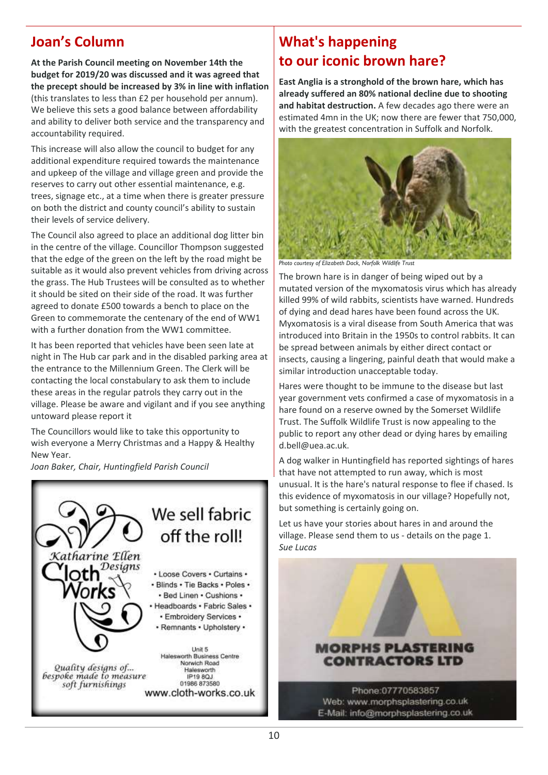## **Joan's Column**

**At the Parish Council meeting on November 14th the budget for 2019/20 was discussed and it was agreed that the precept should be increased by 3% in line with inflation** (this translates to less than £2 per household per annum). We believe this sets a good balance between affordability and ability to deliver both service and the transparency and accountability required.

This increase will also allow the council to budget for any additional expenditure required towards the maintenance and upkeep of the village and village green and provide the reserves to carry out other essential maintenance, e.g. trees, signage etc., at a time when there is greater pressure on both the district and county council's ability to sustain their levels of service delivery.

The Council also agreed to place an additional dog litter bin in the centre of the village. Councillor Thompson suggested that the edge of the green on the left by the road might be suitable as it would also prevent vehicles from driving across the grass. The Hub Trustees will be consulted as to whether it should be sited on their side of the road. It was further agreed to donate £500 towards a bench to place on the Green to commemorate the centenary of the end of WW1 with a further donation from the WW1 committee.

It has been reported that vehicles have been seen late at night in The Hub car park and in the disabled parking area at the entrance to the Millennium Green. The Clerk will be contacting the local constabulary to ask them to include these areas in the regular patrols they carry out in the village. Please be aware and vigilant and if you see anything untoward please report it

The Councillors would like to take this opportunity to wish everyone a Merry Christmas and a Happy & Healthy New Year.

*Joan Baker, Chair, Huntingfield Parish Council*



# **What's happening to our iconic brown hare?**

**East Anglia is a stronghold of the brown hare, which has already suffered an 80% national decline due to shooting and habitat destruction.** A few decades ago there were an estimated 4mn in the UK; now there are fewer that 750,000, with the greatest concentration in Suffolk and Norfolk.



*Photo courtesy of Elizabeth Dack, Norfolk Wildlife Trust*

The brown hare is in danger of being wiped out by a mutated version of the myxomatosis virus which has already killed 99% of wild rabbits, scientists have warned. Hundreds of dying and dead hares have been found across the UK. Myxomatosis is a viral disease from South America that was introduced into Britain in the 1950s to control rabbits. It can be spread between animals by either direct contact or insects, causing a lingering, painful death that would make a similar introduction unacceptable today.

Hares were thought to be immune to the disease but last year government vets confirmed a case of myxomatosis in a hare found on a reserve owned by the Somerset Wildlife Trust. The Suffolk Wildlife Trust is now appealing to the public to report any other dead or dying hares by emailing d.bell@uea.ac.uk.

A dog walker in Huntingfield has reported sightings of hares that have not attempted to run away, which is most unusual. It is the hare's natural response to flee if chased. Is this evidence of myxomatosis in our village? Hopefully not, but something is certainly going on.

Let us have your stories about hares in and around the village. Please send them to us - details on the page 1. *Sue Lucas*

### **MORPHS PLASTERING CONTRACTORS LTD**

Phone:07770583857 Web: www.morphsplastering.co.uk E-Mail: info@morphsplastering.co.uk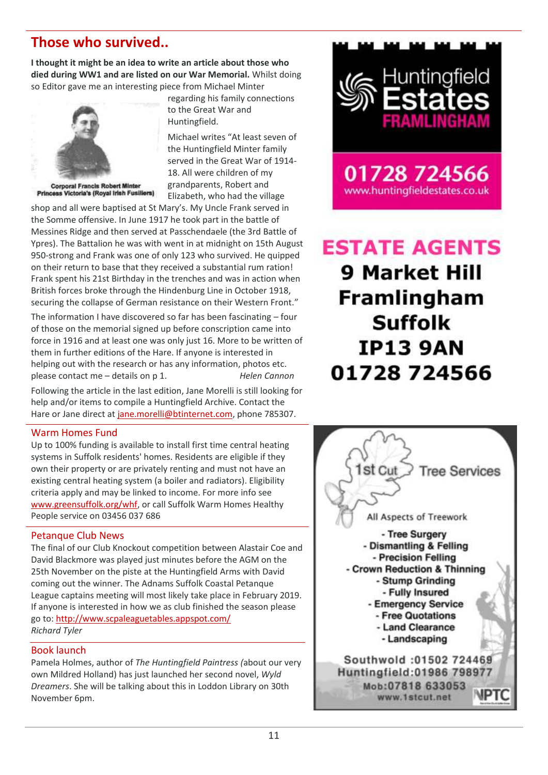### <span id="page-10-0"></span>**Those who survived..**

**I thought it might be an idea to write an article about those who died during WW1 and are listed on our War Memorial.** Whilst doing so Editor gave me an interesting piece from Michael Minter



**Corporal Francis Robert Minter** Princess Victoria's (Royal Irish Fusiliers)

regarding his family connections to the Great War and Huntingfield.

Michael writes "At least seven of the Huntingfield Minter family served in the Great War of 1914- 18. All were children of my grandparents, Robert and Elizabeth, who had the village

shop and all were baptised at St Mary's. My Uncle Frank served in the Somme offensive. In June 1917 he took part in the battle of Messines Ridge and then served at Passchendaele (the 3rd Battle of Ypres). The Battalion he was with went in at midnight on 15th August 950-strong and Frank was one of only 123 who survived. He quipped on their return to base that they received a substantial rum ration! Frank spent his 21st Birthday in the trenches and was in action when British forces broke through the Hindenburg Line in October 1918, securing the collapse of German resistance on their Western Front."

The information I have discovered so far has been fascinating – four of those on the memorial signed up before conscription came into force in 1916 and at least one was only just 16. More to be written of them in further editions of the Hare. If anyone is interested in helping out with the research or has any information, photos etc. please contact me – details on p 1. *Helen Cannon*

Following the article in the last edition, Jane Morelli is still looking for help and/or items to compile a Huntingfield Archive. Contact the Hare or Jane direct a[t jane.morelli@btinternet.com,](mailto:jane.morelli@btinternet.com) phone 785307.

#### Warm Homes Fund

Up to 100% funding is available to install first time central heating systems in Suffolk residents' homes. Residents are eligible if they own their property or are privately renting and must not have an existing central heating system (a boiler and radiators). Eligibility criteria apply and may be linked to income. For more info see [www.greensuffolk.org/whf,](file:///C:/Users/Helen/AppData/Roaming/Microsoft/Word/www.greensuffolk.org/whf) or call Suffolk Warm Homes Healthy People service on 03456 037 686

#### Petanque Club News

The final of our Club Knockout competition between Alastair Coe and David Blackmore was played just minutes before the AGM on the 25th November on the piste at the Huntingfield Arms with David coming out the winner. The Adnams Suffolk Coastal Petanque League captains meeting will most likely take place in February 2019. If anyone is interested in how we as club finished the season please go to: <http://www.scpaleaguetables.appspot.com/> *Richard Tyler*

#### Book launch

Pamela Holmes, author of *The Huntingfield Paintress (*about our very own Mildred Holland) has just launched her second novel, *Wyld Dreamers*. She will be talking about this in Loddon Library on 30th November 6pm.



www.huntingfieldestates.co.uk

# **ESTATE AGENTS** 9 Market Hill **Framlingham Suffolk IP13 9AN** 01728 724566